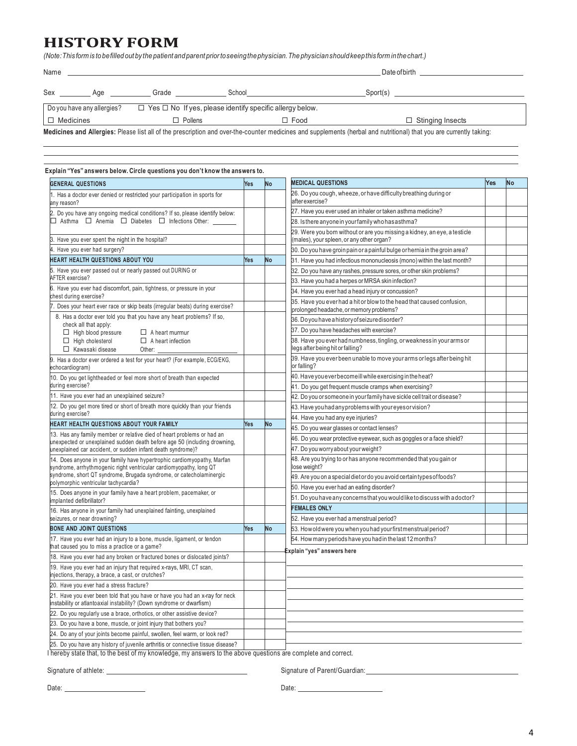## **HISTORY FORM**

(Note: This form is to be filled out by the patient and parent prior to seeing the physician. The physician should keep this form in the chart.)

| Name                                                                                                                                                                |     |                | Date of birth |                                        |  |  |  |  |
|---------------------------------------------------------------------------------------------------------------------------------------------------------------------|-----|----------------|---------------|----------------------------------------|--|--|--|--|
| Sex                                                                                                                                                                 | Aae | Grade          | School        | Sport(s)                               |  |  |  |  |
| Do you have any allergies?<br>$\Box$ Yes $\Box$ No If yes, please identify specific allergy below.                                                                  |     |                |               |                                        |  |  |  |  |
| $\Box$ Medicines                                                                                                                                                    |     | $\Box$ Pollens |               | $\Box$ Stinging Insects<br>$\Box$ Food |  |  |  |  |
| Medicines and Allergies: Please list all of the prescription and over-the-counter medicines and supplements (herbal and nutritional) that you are currently taking: |     |                |               |                                        |  |  |  |  |

| <b>GENERAL QUESTIONS</b>                                                                                                                            | Yes | <b>No</b> | <b>MEDICAL QUESTIONS</b>                                                                                               | Yes | No |
|-----------------------------------------------------------------------------------------------------------------------------------------------------|-----|-----------|------------------------------------------------------------------------------------------------------------------------|-----|----|
| 1. Has a doctor ever denied or restricted your participation in sports for<br>any reason?                                                           |     |           | 26. Do you cough, wheeze, or have difficulty breathing during or<br>after exercise?                                    |     |    |
| 2. Do you have any ongoing medical conditions? If so, please identify below:                                                                        |     |           | 27. Have you ever used an inhaler or taken asthma medicine?                                                            |     |    |
| □ Asthma □ Anemia □ Diabetes □ Infections Other:                                                                                                    |     |           | 28. Isthere anyone in your family who has asthma?                                                                      |     |    |
| 3. Have you ever spent the night in the hospital?                                                                                                   |     |           | 29. Were you born without or are you missing a kidney, an eye, a testicle<br>(males), your spleen, or any other organ? |     |    |
| 4. Have you ever had surgery?                                                                                                                       |     |           | 30. Do you have groin pain or a painful bulge or hernia in the groin area?                                             |     |    |
| HEART HEALTH QUESTIONS ABOUT YOU                                                                                                                    | Yes | No        | 31. Have you had infectious mononucleosis (mono) within the last month?                                                |     |    |
| 5. Have you ever passed out or nearly passed out DURING or                                                                                          |     |           | 32. Do you have any rashes, pressure sores, or other skin problems?                                                    |     |    |
| <b>AFTER</b> exercise?                                                                                                                              |     |           | 33. Have you had a herpes or MRSA skin infection?                                                                      |     |    |
| 6. Have you ever had discomfort, pain, tightness, or pressure in your<br>chest during exercise?                                                     |     |           | 34. Have you ever had a head injury or concussion?                                                                     |     |    |
| 7. Does your heart ever race or skip beats (irregular beats) during exercise?                                                                       |     |           | 35. Have you ever had a hit or blow to the head that caused confusion,<br>prolonged headache, or memory problems?      |     |    |
| 8. Has a doctor ever told you that you have any heart problems? If so,                                                                              |     |           | 36. Do you have a history of seizure disorder?                                                                         |     |    |
| check all that apply:<br>$\Box$ High blood pressure<br>$\Box$ A heart murmur                                                                        |     |           | 37. Do you have headaches with exercise?                                                                               |     |    |
| $\Box$ High cholesterol<br>$\Box$ A heart infection<br>□ Kawasaki disease<br>Other:                                                                 |     |           | 38. Have you ever had numbness, tingling, or weakness in your arms or<br>egs after being hit or falling?               |     |    |
| 9. Has a doctor ever ordered a test for your heart? (For example, ECG/EKG,<br>echocardiogram)                                                       |     |           | 39. Have you ever been unable to move your arms or legs after being hit<br>or falling?                                 |     |    |
| 10. Do you get lightheaded or feel more short of breath than expected                                                                               |     |           | 40. Have you ever become ill while exercising in the heat?                                                             |     |    |
| during exercise?                                                                                                                                    |     |           | 41. Do you get frequent muscle cramps when exercising?                                                                 |     |    |
| 11. Have you ever had an unexplained seizure?                                                                                                       |     |           | 42. Do you or someone in your family have sickle cell trait or disease?                                                |     |    |
| 12. Do you get more tired or short of breath more quickly than your friends                                                                         |     |           | 43. Have you had any problems with your eyes or vision?                                                                |     |    |
| during exercise?                                                                                                                                    |     |           | 44. Have you had any eye injuries?                                                                                     |     |    |
| HEART HEALTH QUESTIONS ABOUT YOUR FAMILY                                                                                                            | Yes | No        | 45. Do you wear glasses or contact lenses?                                                                             |     |    |
| 3. Has any family member or relative died of heart problems or had an<br>unexpected or unexplained sudden death before age 50 (including drowning,  |     |           | 46. Do you wear protective eyewear, such as goggles or a face shield?                                                  |     |    |
| unexplained car accident, or sudden infant death syndrome)?                                                                                         |     |           | 47. Do you worry about your weight?                                                                                    |     |    |
| 14. Does anyone in your family have hypertrophic cardiomyopathy, Marfan<br>syndrome, arrhythmogenic right ventricular cardiomyopathy, long QT       |     |           | 48. Are you trying to or has anyone recommended that you gain or<br>ose weight?                                        |     |    |
| syndrome, short QT syndrome, Brugada syndrome, or catecholaminergic<br>polymorphic ventricular tachycardia?                                         |     |           | 49. Are you on a special dietor do you avoid certain types of foods?                                                   |     |    |
| 15. Does anyone in your family have a heart problem, pacemaker, or                                                                                  |     |           | 60. Have you ever had an eating disorder?                                                                              |     |    |
| mplanted defibrillator?                                                                                                                             |     |           | 51. Do you have any concerns that you would like to discuss with a doctor?                                             |     |    |
| 16. Has anyone in your family had unexplained fainting, unexplained                                                                                 |     |           | <b>EMALES ONLY</b>                                                                                                     |     |    |
| seizures, or near drowning?                                                                                                                         |     |           | 52. Have you ever had a menstrual period?                                                                              |     |    |
| <b>BONE AND JOINT QUESTIONS</b>                                                                                                                     | Yes | No        | 53. How old were you when you had your first menstrual period?                                                         |     |    |
| 17. Have you ever had an injury to a bone, muscle, ligament, or tendon<br>that caused you to miss a practice or a game?                             |     |           | 54. How many periods have you had in the last 12 months?<br>Explain "yes" answers here                                 |     |    |
| 18. Have you ever had any broken or fractured bones or dislocated joints?                                                                           |     |           |                                                                                                                        |     |    |
| 19. Have you ever had an injury that required x-rays, MRI, CT scan,<br>injections, therapy, a brace, a cast, or crutches?                           |     |           |                                                                                                                        |     |    |
| 20. Have you ever had a stress fracture?                                                                                                            |     |           |                                                                                                                        |     |    |
| 21. Have you ever been told that you have or have you had an x-ray for neck<br>instability or atlantoaxial instability? (Down syndrome or dwarfism) |     |           |                                                                                                                        |     |    |
| 22. Do you regularly use a brace, orthotics, or other assistive device?                                                                             |     |           |                                                                                                                        |     |    |
| 23. Do you have a bone, muscle, or joint injury that bothers you?                                                                                   |     |           |                                                                                                                        |     |    |
| 24. Do any of your joints become painful, swollen, feel warm, or look red?                                                                          |     |           |                                                                                                                        |     |    |
| 25. Do you have any history of juvenile arthritis or connective tissue disease?                                                                     |     |           |                                                                                                                        |     |    |

I hereby state that, to the best of my knowledge, my answers to the above questions are complete and correct.

Signature of athlete: <u>Signature of Parent/Guardian:</u> Signature of Parent/Guardian: Signature of 2011 1997